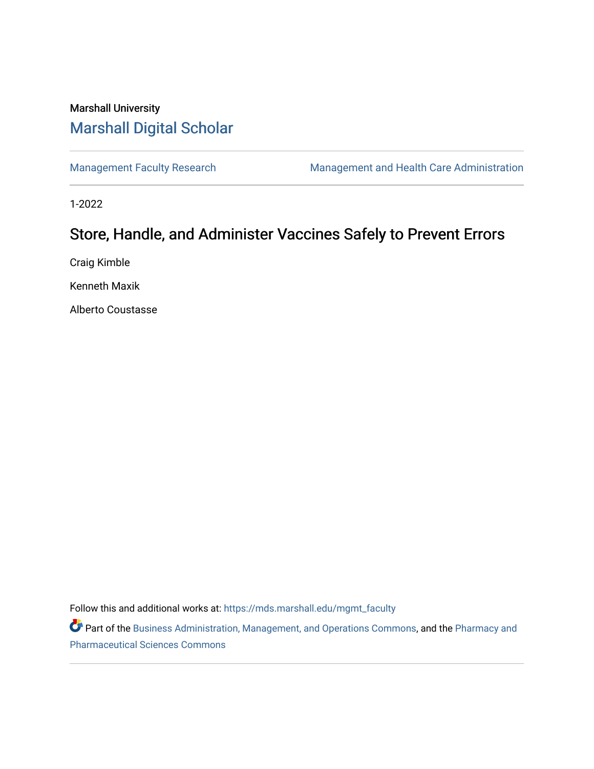## Marshall University [Marshall Digital Scholar](https://mds.marshall.edu/)

[Management Faculty Research](https://mds.marshall.edu/mgmt_faculty) [Management and Health Care Administration](https://mds.marshall.edu/cob_mmm) 

1-2022

# Store, Handle, and Administer Vaccines Safely to Prevent Errors

Craig Kimble

Kenneth Maxik

Alberto Coustasse

Follow this and additional works at: [https://mds.marshall.edu/mgmt\\_faculty](https://mds.marshall.edu/mgmt_faculty?utm_source=mds.marshall.edu%2Fmgmt_faculty%2F239&utm_medium=PDF&utm_campaign=PDFCoverPages)

Part of the [Business Administration, Management, and Operations Commons](http://network.bepress.com/hgg/discipline/623?utm_source=mds.marshall.edu%2Fmgmt_faculty%2F239&utm_medium=PDF&utm_campaign=PDFCoverPages), and the [Pharmacy and](http://network.bepress.com/hgg/discipline/731?utm_source=mds.marshall.edu%2Fmgmt_faculty%2F239&utm_medium=PDF&utm_campaign=PDFCoverPages) [Pharmaceutical Sciences Commons](http://network.bepress.com/hgg/discipline/731?utm_source=mds.marshall.edu%2Fmgmt_faculty%2F239&utm_medium=PDF&utm_campaign=PDFCoverPages)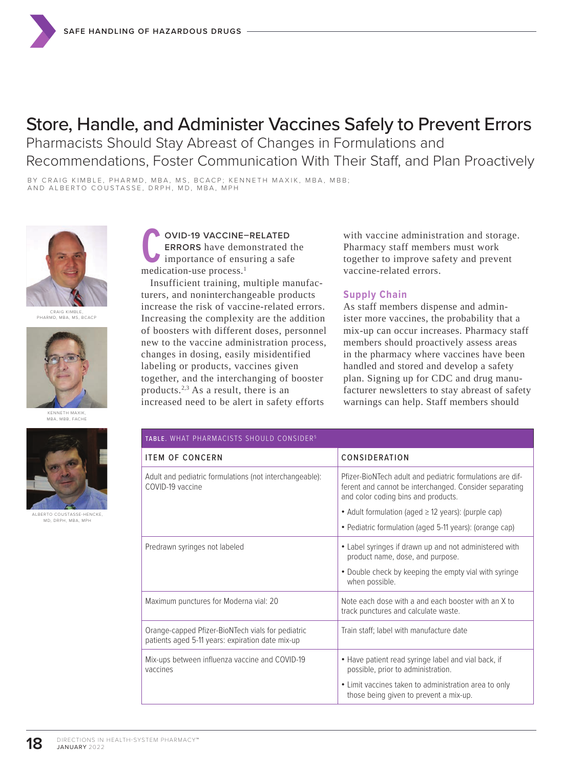# Store, Handle, and Administer Vaccines Safely to Prevent Errors

Pharmacists Should Stay Abreast of Changes in Formulations and Recommendations, Foster Communication With Their Staff, and Plan Proactively

BY CRAIG KIMBLE, PHARMD, MBA, MS, BCACP; KENNETH MAXIK, MBA, MBB; AND ALBERTO COUSTASSE, DRPH, MD, MBA, MPH



CRAIG KIMBLE, PHARMO NIMBLE, CACP



KENNETH MAXIK, MBA, MBB, FACHE



ALBERTO COUSTASSE-HENCKE, MD, DRPH, MBA, MPH

**COVID-19 VACCINE-<br>
ERRORS** have demo<br>
importance of ensu<br>
medication-use process.<sup>1</sup> **OVID-19 VACCINE–RELATED ERRORS** have demonstrated the importance of ensuring a safe

Insufficient training, multiple manufacturers, and noninterchangeable products increase the risk of vaccine-related errors. Increasing the complexity are the addition of boosters with different doses, personnel new to the vaccine administration process, changes in dosing, easily misidentified labeling or products, vaccines given together, and the interchanging of booster products.2,3 As a result, there is an increased need to be alert in safety efforts

with vaccine administration and storage. Pharmacy staff members must work together to improve safety and prevent vaccine-related errors.

### **Supply Chain**

As staff members dispense and administer more vaccines, the probability that a mix-up can occur increases. Pharmacy staff members should proactively assess areas in the pharmacy where vaccines have been handled and stored and develop a safety plan. Signing up for CDC and drug manufacturer newsletters to stay abreast of safety warnings can help. Staff members should

| TABLE. WHAT PHARMACISTS SHOULD CONSIDER <sup>5</sup>                                                  |                                                                                                                                                            |
|-------------------------------------------------------------------------------------------------------|------------------------------------------------------------------------------------------------------------------------------------------------------------|
| <b>ITEM OF CONCERN</b>                                                                                | CONSIDERATION                                                                                                                                              |
| Adult and pediatric formulations (not interchangeable):<br>COVID-19 vaccine                           | Pfizer-BioNTech adult and pediatric formulations are dif-<br>ferent and cannot be interchanged. Consider separating<br>and color coding bins and products. |
|                                                                                                       | • Adult formulation (aged $\geq$ 12 years): (purple cap)                                                                                                   |
|                                                                                                       | • Pediatric formulation (aged 5-11 years): (orange cap)                                                                                                    |
| Predrawn syringes not labeled                                                                         | • Label syringes if drawn up and not administered with<br>product name, dose, and purpose.                                                                 |
|                                                                                                       | • Double check by keeping the empty vial with syringe<br>when possible.                                                                                    |
| Maximum punctures for Moderna vial: 20                                                                | Note each dose with a and each booster with an X to<br>track punctures and calculate waste.                                                                |
| Orange-capped Pfizer-BioNTech vials for pediatric<br>patients aged 5-11 years: expiration date mix-up | Train staff; label with manufacture date                                                                                                                   |
| Mix-ups between influenza vaccine and COVID-19<br>vaccines                                            | • Have patient read syringe label and vial back, if<br>possible, prior to administration.                                                                  |
|                                                                                                       | • Limit vaccines taken to administration area to only<br>those being given to prevent a mix-up.                                                            |